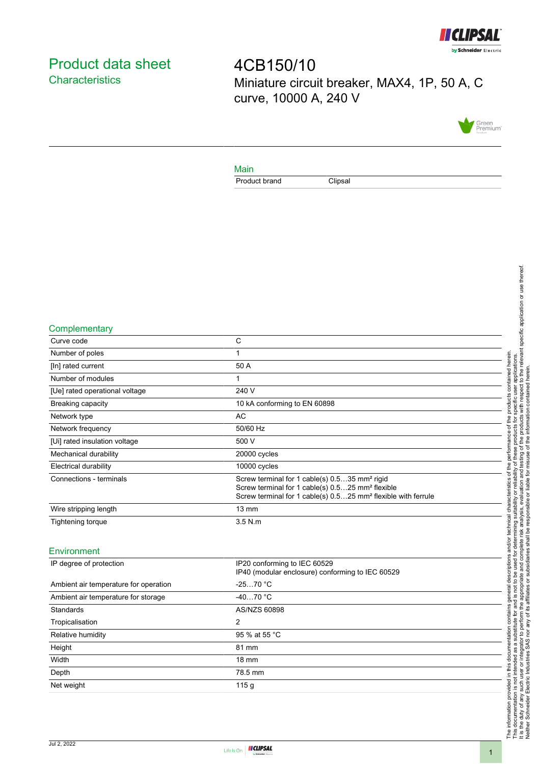

# <span id="page-0-0"></span>Product data sheet **Characteristics**

4CB150/10 Miniature circuit breaker, MAX4, 1P, 50 A, C curve, 10000 A, 240 V



### Main

Product brand Clipsal

#### **Complementary**

| Curve code                     | C                                                                                                                                                                                                      |
|--------------------------------|--------------------------------------------------------------------------------------------------------------------------------------------------------------------------------------------------------|
| Number of poles                |                                                                                                                                                                                                        |
| [In] rated current             | 50 A                                                                                                                                                                                                   |
| Number of modules              |                                                                                                                                                                                                        |
| [Ue] rated operational voltage | 240 V                                                                                                                                                                                                  |
| <b>Breaking capacity</b>       | 10 kA conforming to EN 60898                                                                                                                                                                           |
| Network type                   | AC                                                                                                                                                                                                     |
| Network frequency              | 50/60 Hz                                                                                                                                                                                               |
| [Ui] rated insulation voltage  | 500 V                                                                                                                                                                                                  |
| Mechanical durability          | 20000 cycles                                                                                                                                                                                           |
| <b>Electrical durability</b>   | 10000 cycles                                                                                                                                                                                           |
| Connections - terminals        | Screw terminal for 1 cable(s) 0.535 mm <sup>2</sup> rigid<br>Screw terminal for 1 cable(s) 0.525 mm <sup>2</sup> flexible<br>Screw terminal for 1 cable(s) 0.525 mm <sup>2</sup> flexible with ferrule |
| Wire stripping length          | $13 \text{ mm}$                                                                                                                                                                                        |
| Tightening torque              | $3.5$ N.m.                                                                                                                                                                                             |
|                                |                                                                                                                                                                                                        |

### Environment

| IP degree of protection               | IP20 conforming to IEC 60529<br>IP40 (modular enclosure) conforming to IEC 60529 |  |
|---------------------------------------|----------------------------------------------------------------------------------|--|
| Ambient air temperature for operation | $-2570 °C$                                                                       |  |
| Ambient air temperature for storage   | $-4070 °C$                                                                       |  |
| Standards                             | AS/NZS 60898                                                                     |  |
| Tropicalisation                       | 2                                                                                |  |
| Relative humidity                     | 95 % at 55 °C                                                                    |  |
| Height                                | 81 mm                                                                            |  |
| Width                                 | $18 \text{ mm}$                                                                  |  |
| Depth                                 | 78.5 mm                                                                          |  |
| Net weight                            | 115q                                                                             |  |
|                                       |                                                                                  |  |